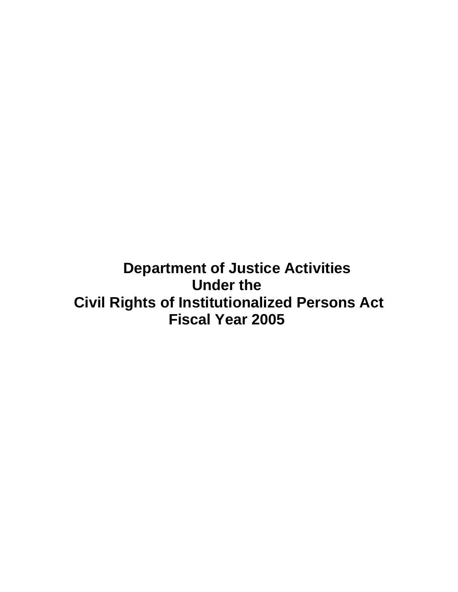**Department of Justice Activities Under the Civil Rights of Institutionalized Persons Act Fiscal Year 2005**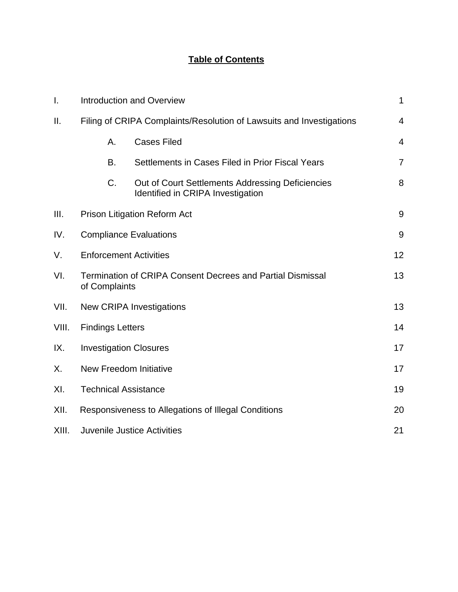# **Table of Contents**

| Ι.    | <b>Introduction and Overview</b>                                                   |                                                                                       |                |
|-------|------------------------------------------------------------------------------------|---------------------------------------------------------------------------------------|----------------|
| ΙΙ.   | Filing of CRIPA Complaints/Resolution of Lawsuits and Investigations               |                                                                                       | 4              |
|       | А.                                                                                 | <b>Cases Filed</b>                                                                    | $\overline{4}$ |
|       | B.                                                                                 | Settlements in Cases Filed in Prior Fiscal Years                                      | $\overline{7}$ |
|       | C.                                                                                 | Out of Court Settlements Addressing Deficiencies<br>Identified in CRIPA Investigation | 8              |
| III.  | <b>Prison Litigation Reform Act</b>                                                |                                                                                       | 9              |
| IV.   | <b>Compliance Evaluations</b>                                                      |                                                                                       | $9\,$          |
| V.    | <b>Enforcement Activities</b>                                                      |                                                                                       | 12             |
| VI.   | <b>Termination of CRIPA Consent Decrees and Partial Dismissal</b><br>of Complaints |                                                                                       | 13             |
| VII.  | <b>New CRIPA Investigations</b>                                                    |                                                                                       | 13             |
| VIII. | <b>Findings Letters</b>                                                            |                                                                                       | 14             |
| IX.   | <b>Investigation Closures</b>                                                      |                                                                                       | 17             |
| Х.    | New Freedom Initiative                                                             |                                                                                       | 17             |
| XI.   | <b>Technical Assistance</b>                                                        |                                                                                       | 19             |
| XII.  | Responsiveness to Allegations of Illegal Conditions                                |                                                                                       | 20             |
| XIII. | <b>Juvenile Justice Activities</b>                                                 |                                                                                       | 21             |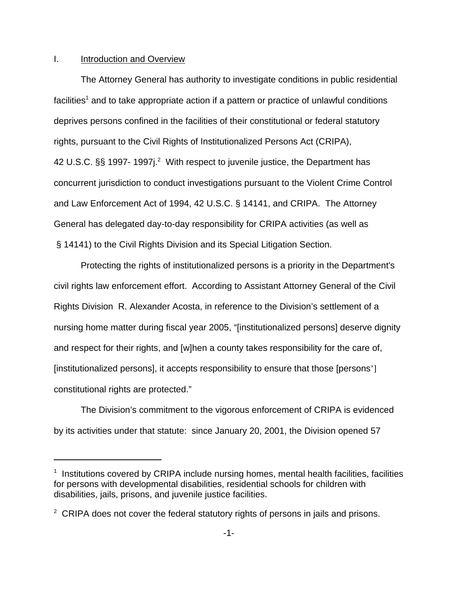### I. Introduction and Overview

The Attorney General has authority to investigate conditions in public residential facilities<sup>1</sup> and to take appropriate action if a pattern or practice of unlawful conditions deprives persons confined in the facilities of their constitutional or federal statutory rights, pursuant to the Civil Rights of Institutionalized Persons Act (CRIPA), 42 U.S.C.  $\S$ § 1997- 1997j.<sup>2</sup> With respect to juvenile justice, the Department has concurrent jurisdiction to conduct investigations pursuant to the Violent Crime Control and Law Enforcement Act of 1994, 42 U.S.C. § 14141, and CRIPA. The Attorney General has delegated day-to-day responsibility for CRIPA activities (as well as § 14141) to the Civil Rights Division and its Special Litigation Section.

Protecting the rights of institutionalized persons is a priority in the Department's civil rights law enforcement effort. According to Assistant Attorney General of the Civil Rights Division R. Alexander Acosta, in reference to the Division's settlement of a nursing home matter during fiscal year 2005, "[institutionalized persons] deserve dignity and respect for their rights, and [w]hen a county takes responsibility for the care of, [institutionalized persons], it accepts responsibility to ensure that those [persons'] constitutional rights are protected."

The Division's commitment to the vigorous enforcement of CRIPA is evidenced by its activities under that statute: since January 20, 2001, the Division opened 57

<sup>&</sup>lt;sup>1</sup> Institutions covered by CRIPA include nursing homes, mental health facilities, facilities for persons with developmental disabilities, residential schools for children with disabilities, jails, prisons, and juvenile justice facilities.

 $2^2$  CRIPA does not cover the federal statutory rights of persons in jails and prisons.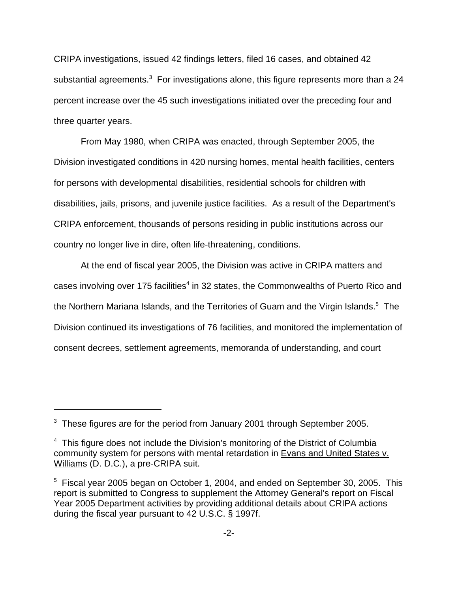CRIPA investigations, issued 42 findings letters, filed 16 cases, and obtained 42 substantial agreements.<sup>3</sup> For investigations alone, this figure represents more than a 24 percent increase over the 45 such investigations initiated over the preceding four and three quarter years.

From May 1980, when CRIPA was enacted, through September 2005, the Division investigated conditions in 420 nursing homes, mental health facilities, centers for persons with developmental disabilities, residential schools for children with disabilities, jails, prisons, and juvenile justice facilities. As a result of the Department's CRIPA enforcement, thousands of persons residing in public institutions across our country no longer live in dire, often life-threatening, conditions.

At the end of fiscal year 2005, the Division was active in CRIPA matters and cases involving over 175 facilities<sup>4</sup> in 32 states, the Commonwealths of Puerto Rico and the Northern Mariana Islands, and the Territories of Guam and the Virgin Islands.<sup>5</sup> The Division continued its investigations of 76 facilities, and monitored the implementation of consent decrees, settlement agreements, memoranda of understanding, and court

 $3$  These figures are for the period from January 2001 through September 2005.

<sup>&</sup>lt;sup>4</sup> This figure does not include the Division's monitoring of the District of Columbia community system for persons with mental retardation in Evans and United States v. Williams (D. D.C.), a pre-CRIPA suit.

<sup>&</sup>lt;sup>5</sup> Fiscal year 2005 began on October 1, 2004, and ended on September 30, 2005. This report is submitted to Congress to supplement the Attorney General's report on Fiscal Year 2005 Department activities by providing additional details about CRIPA actions during the fiscal year pursuant to 42 U.S.C. § 1997f.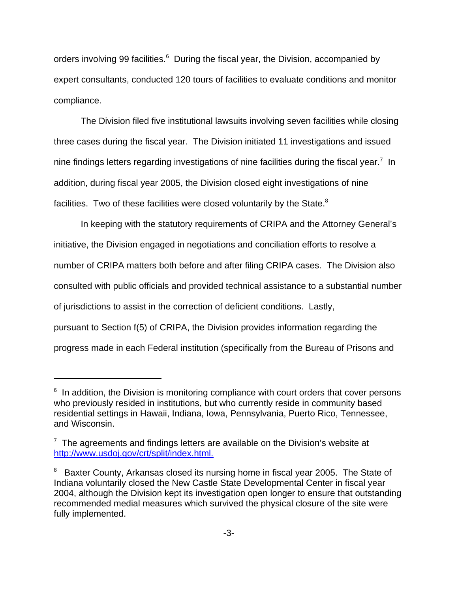orders involving 99 facilities.<sup>6</sup> During the fiscal year, the Division, accompanied by expert consultants, conducted 120 tours of facilities to evaluate conditions and monitor compliance.

The Division filed five institutional lawsuits involving seven facilities while closing three cases during the fiscal year. The Division initiated 11 investigations and issued nine findings letters regarding investigations of nine facilities during the fiscal year.<sup>7</sup> In addition, during fiscal year 2005, the Division closed eight investigations of nine facilities. Two of these facilities were closed voluntarily by the State.<sup>8</sup>

In keeping with the statutory requirements of CRIPA and the Attorney General's initiative, the Division engaged in negotiations and conciliation efforts to resolve a number of CRIPA matters both before and after filing CRIPA cases. The Division also consulted with public officials and provided technical assistance to a substantial number of jurisdictions to assist in the correction of deficient conditions. Lastly, pursuant to Section f(5) of CRIPA, the Division provides information regarding the progress made in each Federal institution (specifically from the Bureau of Prisons and

<sup>&</sup>lt;sup>6</sup> In addition, the Division is monitoring compliance with court orders that cover persons who previously resided in institutions, but who currently reside in community based residential settings in Hawaii, Indiana, Iowa, Pennsylvania, Puerto Rico, Tennessee, and Wisconsin.

 $7$  The agreements and findings letters are available on the Division's website at http://www.usdoj.gov/crt/split/index.html.

 $8$  Baxter County, Arkansas closed its nursing home in fiscal year 2005. The State of Indiana voluntarily closed the New Castle State Developmental Center in fiscal year 2004, although the Division kept its investigation open longer to ensure that outstanding recommended medial measures which survived the physical closure of the site were fully implemented.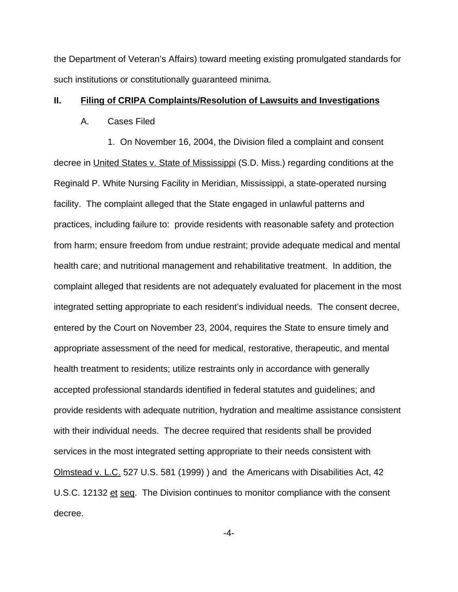the Department of Veteran's Affairs) toward meeting existing promulgated standards for such institutions or constitutionally guaranteed minima.

### **II. Filing of CRIPA Complaints/Resolution of Lawsuits and Investigations**

#### A. Cases Filed

1. On November 16, 2004, the Division filed a complaint and consent decree in United States v. State of Mississippi (S.D. Miss.) regarding conditions at the Reginald P. White Nursing Facility in Meridian, Mississippi, a state-operated nursing facility. The complaint alleged that the State engaged in unlawful patterns and practices, including failure to: provide residents with reasonable safety and protection from harm; ensure freedom from undue restraint; provide adequate medical and mental health care; and nutritional management and rehabilitative treatment. In addition, the complaint alleged that residents are not adequately evaluated for placement in the most integrated setting appropriate to each resident's individual needs. The consent decree, entered by the Court on November 23, 2004, requires the State to ensure timely and appropriate assessment of the need for medical, restorative, therapeutic, and mental health treatment to residents; utilize restraints only in accordance with generally accepted professional standards identified in federal statutes and guidelines; and provide residents with adequate nutrition, hydration and mealtime assistance consistent with their individual needs. The decree required that residents shall be provided services in the most integrated setting appropriate to their needs consistent with Olmstead v. L.C. 527 U.S. 581 (1999) ) and the Americans with Disabilities Act, 42 U.S.C. 12132 et seq. The Division continues to monitor compliance with the consent decree.

-4-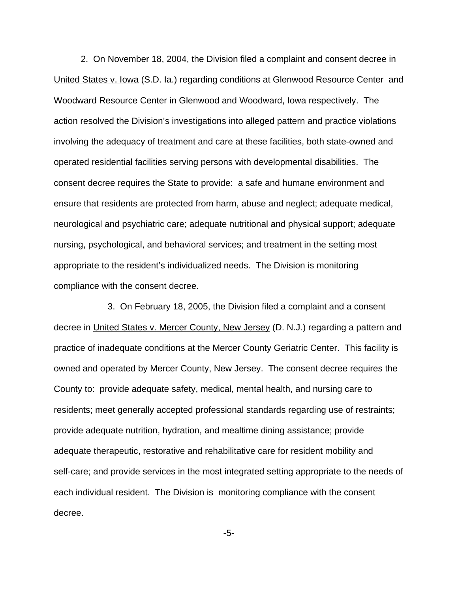2. On November 18, 2004, the Division filed a complaint and consent decree in United States v. Iowa (S.D. Ia.) regarding conditions at Glenwood Resource Center and Woodward Resource Center in Glenwood and Woodward, Iowa respectively. The action resolved the Division's investigations into alleged pattern and practice violations involving the adequacy of treatment and care at these facilities, both state-owned and operated residential facilities serving persons with developmental disabilities. The consent decree requires the State to provide: a safe and humane environment and ensure that residents are protected from harm, abuse and neglect; adequate medical, neurological and psychiatric care; adequate nutritional and physical support; adequate nursing, psychological, and behavioral services; and treatment in the setting most appropriate to the resident's individualized needs. The Division is monitoring compliance with the consent decree.

3. On February 18, 2005, the Division filed a complaint and a consent decree in United States v. Mercer County, New Jersey (D. N.J.) regarding a pattern and practice of inadequate conditions at the Mercer County Geriatric Center. This facility is owned and operated by Mercer County, New Jersey. The consent decree requires the County to: provide adequate safety, medical, mental health, and nursing care to residents; meet generally accepted professional standards regarding use of restraints; provide adequate nutrition, hydration, and mealtime dining assistance; provide adequate therapeutic, restorative and rehabilitative care for resident mobility and self-care; and provide services in the most integrated setting appropriate to the needs of each individual resident. The Division is monitoring compliance with the consent decree.

-5-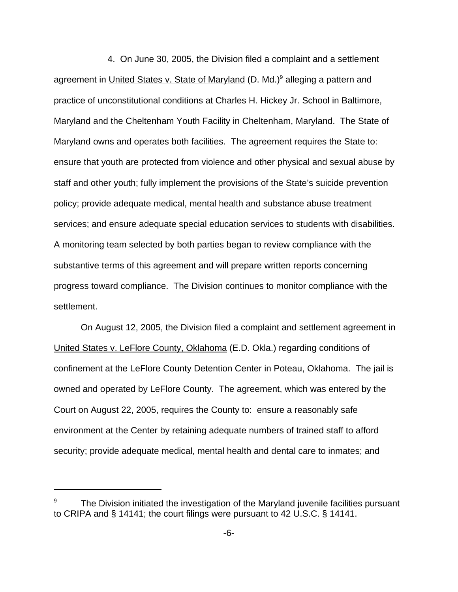4. On June 30, 2005, the Division filed a complaint and a settlement agreement in United States v. State of Maryland (D. Md.)<sup>9</sup> alleging a pattern and practice of unconstitutional conditions at Charles H. Hickey Jr. School in Baltimore, Maryland and the Cheltenham Youth Facility in Cheltenham, Maryland. The State of Maryland owns and operates both facilities. The agreement requires the State to: ensure that youth are protected from violence and other physical and sexual abuse by staff and other youth; fully implement the provisions of the State's suicide prevention policy; provide adequate medical, mental health and substance abuse treatment services; and ensure adequate special education services to students with disabilities. A monitoring team selected by both parties began to review compliance with the substantive terms of this agreement and will prepare written reports concerning progress toward compliance. The Division continues to monitor compliance with the settlement.

On August 12, 2005, the Division filed a complaint and settlement agreement in United States v. LeFlore County, Oklahoma (E.D. Okla.) regarding conditions of confinement at the LeFlore County Detention Center in Poteau, Oklahoma. The jail is owned and operated by LeFlore County. The agreement, which was entered by the Court on August 22, 2005, requires the County to: ensure a reasonably safe environment at the Center by retaining adequate numbers of trained staff to afford security; provide adequate medical, mental health and dental care to inmates; and

<sup>9</sup> The Division initiated the investigation of the Maryland juvenile facilities pursuant to CRIPA and § 14141; the court filings were pursuant to 42 U.S.C. § 14141.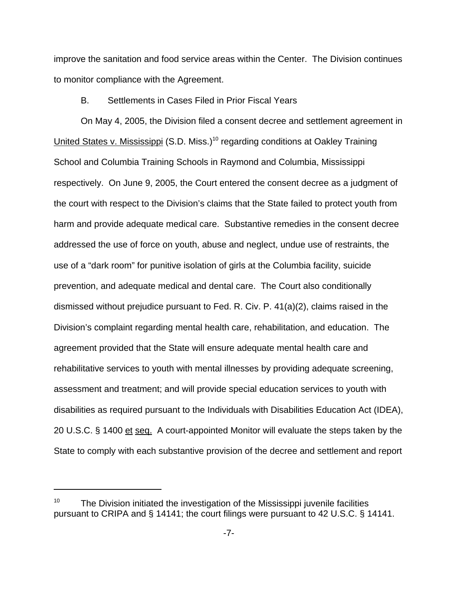improve the sanitation and food service areas within the Center. The Division continues to monitor compliance with the Agreement.

## B. Settlements in Cases Filed in Prior Fiscal Years

On May 4, 2005, the Division filed a consent decree and settlement agreement in United States v. Mississippi (S.D. Miss.)<sup>10</sup> regarding conditions at Oakley Training School and Columbia Training Schools in Raymond and Columbia, Mississippi respectively. On June 9, 2005, the Court entered the consent decree as a judgment of the court with respect to the Division's claims that the State failed to protect youth from harm and provide adequate medical care. Substantive remedies in the consent decree addressed the use of force on youth, abuse and neglect, undue use of restraints, the use of a "dark room" for punitive isolation of girls at the Columbia facility, suicide prevention, and adequate medical and dental care. The Court also conditionally dismissed without prejudice pursuant to Fed. R. Civ. P. 41(a)(2), claims raised in the Division's complaint regarding mental health care, rehabilitation, and education. The agreement provided that the State will ensure adequate mental health care and rehabilitative services to youth with mental illnesses by providing adequate screening, assessment and treatment; and will provide special education services to youth with disabilities as required pursuant to the Individuals with Disabilities Education Act (IDEA), 20 U.S.C. § 1400 et seq. A court-appointed Monitor will evaluate the steps taken by the State to comply with each substantive provision of the decree and settlement and report

The Division initiated the investigation of the Mississippi juvenile facilities pursuant to CRIPA and § 14141; the court filings were pursuant to 42 U.S.C. § 14141.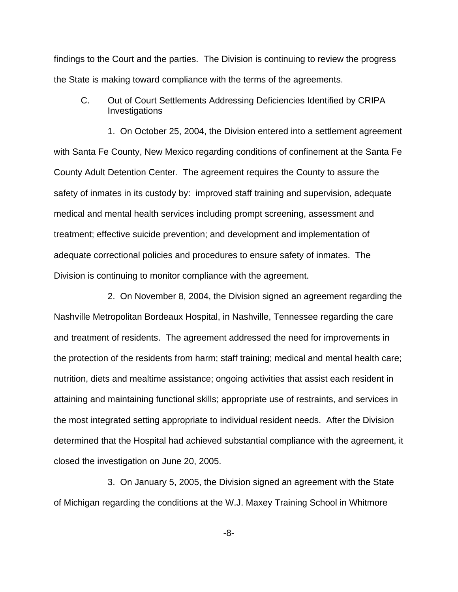findings to the Court and the parties. The Division is continuing to review the progress the State is making toward compliance with the terms of the agreements.

C. Out of Court Settlements Addressing Deficiencies Identified by CRIPA Investigations

1. On October 25, 2004, the Division entered into a settlement agreement with Santa Fe County, New Mexico regarding conditions of confinement at the Santa Fe County Adult Detention Center. The agreement requires the County to assure the safety of inmates in its custody by: improved staff training and supervision, adequate medical and mental health services including prompt screening, assessment and treatment; effective suicide prevention; and development and implementation of adequate correctional policies and procedures to ensure safety of inmates. The Division is continuing to monitor compliance with the agreement.

2. On November 8, 2004, the Division signed an agreement regarding the Nashville Metropolitan Bordeaux Hospital, in Nashville, Tennessee regarding the care and treatment of residents. The agreement addressed the need for improvements in the protection of the residents from harm; staff training; medical and mental health care; nutrition, diets and mealtime assistance; ongoing activities that assist each resident in attaining and maintaining functional skills; appropriate use of restraints, and services in the most integrated setting appropriate to individual resident needs. After the Division determined that the Hospital had achieved substantial compliance with the agreement, it closed the investigation on June 20, 2005.

3. On January 5, 2005, the Division signed an agreement with the State of Michigan regarding the conditions at the W.J. Maxey Training School in Whitmore

-8-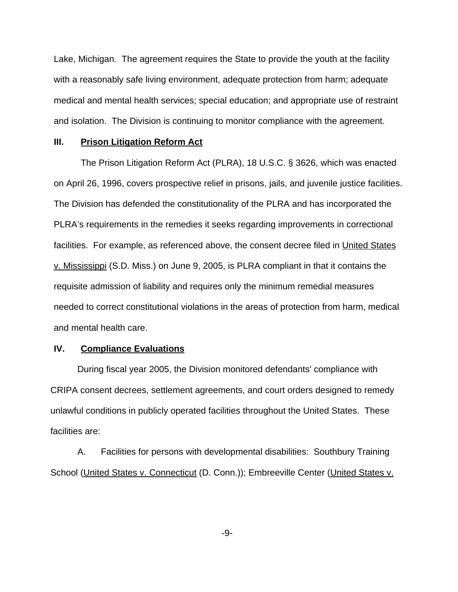Lake, Michigan. The agreement requires the State to provide the youth at the facility with a reasonably safe living environment, adequate protection from harm; adequate medical and mental health services; special education; and appropriate use of restraint and isolation. The Division is continuing to monitor compliance with the agreement.

#### **III. Prison Litigation Reform Act**

The Prison Litigation Reform Act (PLRA), 18 U.S.C. § 3626, which was enacted on April 26, 1996, covers prospective relief in prisons, jails, and juvenile justice facilities. The Division has defended the constitutionality of the PLRA and has incorporated the PLRA's requirements in the remedies it seeks regarding improvements in correctional facilities. For example, as referenced above, the consent decree filed in United States v. Mississippi (S.D. Miss.) on June 9, 2005, is PLRA compliant in that it contains the requisite admission of liability and requires only the minimum remedial measures needed to correct constitutional violations in the areas of protection from harm, medical and mental health care.

## **IV. Compliance Evaluations**

During fiscal year 2005, the Division monitored defendants' compliance with CRIPA consent decrees, settlement agreements, and court orders designed to remedy unlawful conditions in publicly operated facilities throughout the United States. These facilities are:

A. Facilities for persons with developmental disabilities: Southbury Training School (United States v. Connecticut (D. Conn.)); Embreeville Center (United States v.

-9-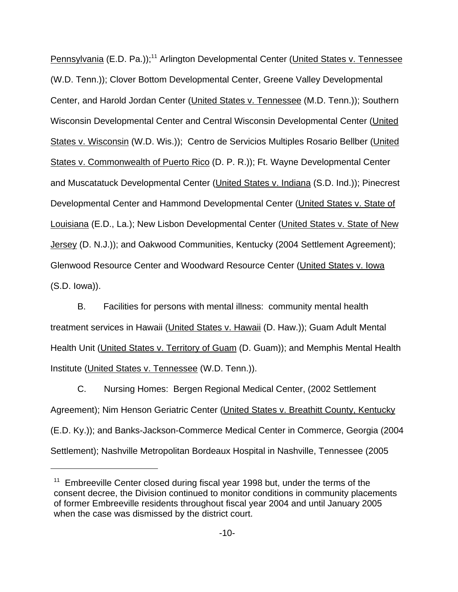Pennsylvania (E.D. Pa.));<sup>11</sup> Arlington Developmental Center (United States v. Tennessee (W.D. Tenn.)); Clover Bottom Developmental Center, Greene Valley Developmental Center, and Harold Jordan Center (United States v. Tennessee (M.D. Tenn.)); Southern Wisconsin Developmental Center and Central Wisconsin Developmental Center (United States v. Wisconsin (W.D. Wis.)); Centro de Servicios Multiples Rosario Bellber (United States v. Commonwealth of Puerto Rico (D. P. R.)); Ft. Wayne Developmental Center and Muscatatuck Developmental Center (United States v. Indiana (S.D. Ind.)); Pinecrest Developmental Center and Hammond Developmental Center (United States v. State of Louisiana (E.D., La.); New Lisbon Developmental Center (United States v. State of New Jersey (D. N.J.)); and Oakwood Communities, Kentucky (2004 Settlement Agreement); Glenwood Resource Center and Woodward Resource Center (United States v. Iowa (S.D. Iowa)).

B. Facilities for persons with mental illness: community mental health treatment services in Hawaii (United States v. Hawaii (D. Haw.)); Guam Adult Mental Health Unit (United States v. Territory of Guam (D. Guam)); and Memphis Mental Health Institute (United States v. Tennessee (W.D. Tenn.)).

C. Nursing Homes: Bergen Regional Medical Center, (2002 Settlement Agreement); Nim Henson Geriatric Center (United States v. Breathitt County, Kentucky (E.D. Ky.)); and Banks-Jackson-Commerce Medical Center in Commerce, Georgia (2004 Settlement); Nashville Metropolitan Bordeaux Hospital in Nashville, Tennessee (2005

 $11$  Embreeville Center closed during fiscal year 1998 but, under the terms of the consent decree, the Division continued to monitor conditions in community placements of former Embreeville residents throughout fiscal year 2004 and until January 2005 when the case was dismissed by the district court.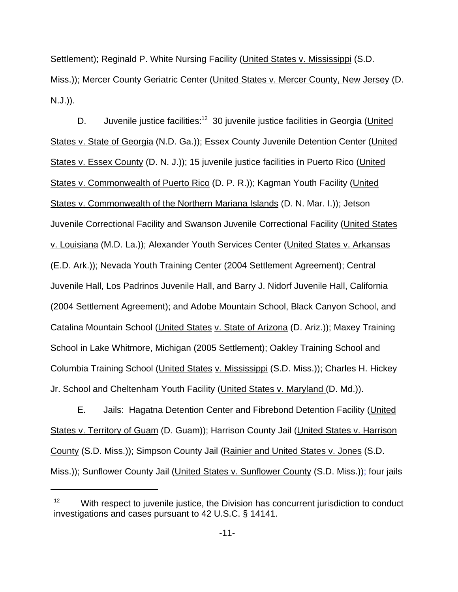Settlement); Reginald P. White Nursing Facility (United States v. Mississippi (S.D. Miss.)); Mercer County Geriatric Center (United States v. Mercer County, New Jersey (D. N.J.)).

D. Juvenile justice facilities:<sup>12</sup> 30 juvenile justice facilities in Georgia (United States v. State of Georgia (N.D. Ga.)); Essex County Juvenile Detention Center (United States v. Essex County (D. N. J.)); 15 juvenile justice facilities in Puerto Rico (United States v. Commonwealth of Puerto Rico (D. P. R.)); Kagman Youth Facility (United States v. Commonwealth of the Northern Mariana Islands (D. N. Mar. I.)); Jetson Juvenile Correctional Facility and Swanson Juvenile Correctional Facility (United States v. Louisiana (M.D. La.)); Alexander Youth Services Center (United States v. Arkansas (E.D. Ark.)); Nevada Youth Training Center (2004 Settlement Agreement); Central Juvenile Hall, Los Padrinos Juvenile Hall, and Barry J. Nidorf Juvenile Hall, California (2004 Settlement Agreement); and Adobe Mountain School, Black Canyon School, and Catalina Mountain School (United States v. State of Arizona (D. Ariz.)); Maxey Training School in Lake Whitmore, Michigan (2005 Settlement); Oakley Training School and Columbia Training School (United States v. Mississippi (S.D. Miss.)); Charles H. Hickey Jr. School and Cheltenham Youth Facility (United States v. Maryland (D. Md.)).

E. Jails: Hagatna Detention Center and Fibrebond Detention Facility (United States v. Territory of Guam (D. Guam)); Harrison County Jail (United States v. Harrison County (S.D. Miss.)); Simpson County Jail (Rainier and United States v. Jones (S.D. Miss.)); Sunflower County Jail (United States v. Sunflower County (S.D. Miss.)); four jails

 $12$  With respect to juvenile justice, the Division has concurrent jurisdiction to conduct investigations and cases pursuant to 42 U.S.C. § 14141.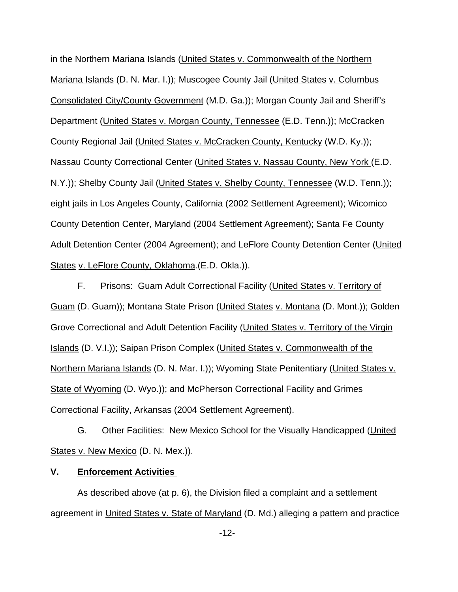in the Northern Mariana Islands (United States v. Commonwealth of the Northern Mariana Islands (D. N. Mar. I.)); Muscogee County Jail (United States v. Columbus Consolidated City/County Government (M.D. Ga.)); Morgan County Jail and Sheriff's Department (United States v. Morgan County, Tennessee (E.D. Tenn.)); McCracken County Regional Jail (United States v. McCracken County, Kentucky (W.D. Ky.)); Nassau County Correctional Center (United States v. Nassau County, New York (E.D. N.Y.)); Shelby County Jail (United States v. Shelby County, Tennessee (W.D. Tenn.)); eight jails in Los Angeles County, California (2002 Settlement Agreement); Wicomico County Detention Center, Maryland (2004 Settlement Agreement); Santa Fe County Adult Detention Center (2004 Agreement); and LeFlore County Detention Center (United States v. LeFlore County, Oklahoma.(E.D. Okla.)).

F. Prisons: Guam Adult Correctional Facility (United States v. Territory of Guam (D. Guam)); Montana State Prison (United States v. Montana (D. Mont.)); Golden Grove Correctional and Adult Detention Facility (United States v. Territory of the Virgin Islands (D. V.I.)); Saipan Prison Complex (United States v. Commonwealth of the Northern Mariana Islands (D. N. Mar. I.)); Wyoming State Penitentiary (United States v. State of Wyoming (D. Wyo.)); and McPherson Correctional Facility and Grimes Correctional Facility, Arkansas (2004 Settlement Agreement).

G. Other Facilities: New Mexico School for the Visually Handicapped (United States v. New Mexico (D. N. Mex.)).

## **V. Enforcement Activities**

As described above (at p. 6), the Division filed a complaint and a settlement agreement in United States v. State of Maryland (D. Md.) alleging a pattern and practice

-12-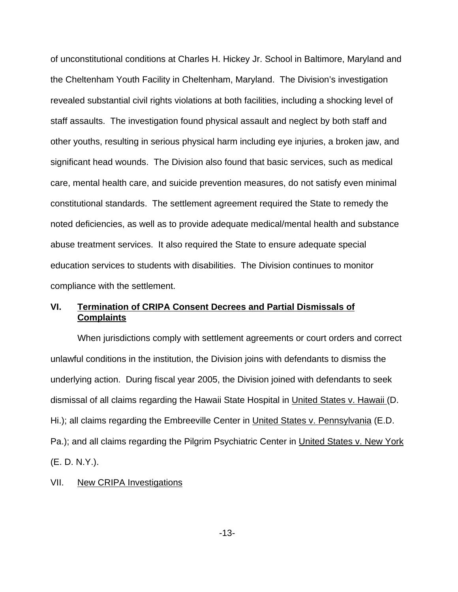of unconstitutional conditions at Charles H. Hickey Jr. School in Baltimore, Maryland and the Cheltenham Youth Facility in Cheltenham, Maryland. The Division's investigation revealed substantial civil rights violations at both facilities, including a shocking level of staff assaults. The investigation found physical assault and neglect by both staff and other youths, resulting in serious physical harm including eye injuries, a broken jaw, and significant head wounds. The Division also found that basic services, such as medical care, mental health care, and suicide prevention measures, do not satisfy even minimal constitutional standards. The settlement agreement required the State to remedy the noted deficiencies, as well as to provide adequate medical/mental health and substance abuse treatment services. It also required the State to ensure adequate special education services to students with disabilities. The Division continues to monitor compliance with the settlement.

# **VI. Termination of CRIPA Consent Decrees and Partial Dismissals of Complaints**

When jurisdictions comply with settlement agreements or court orders and correct unlawful conditions in the institution, the Division joins with defendants to dismiss the underlying action. During fiscal year 2005, the Division joined with defendants to seek dismissal of all claims regarding the Hawaii State Hospital in United States v. Hawaii (D. Hi.); all claims regarding the Embreeville Center in United States v. Pennsylvania (E.D. Pa.); and all claims regarding the Pilgrim Psychiatric Center in United States v. New York (E. D. N.Y.).

### VII. New CRIPA Investigations

-13-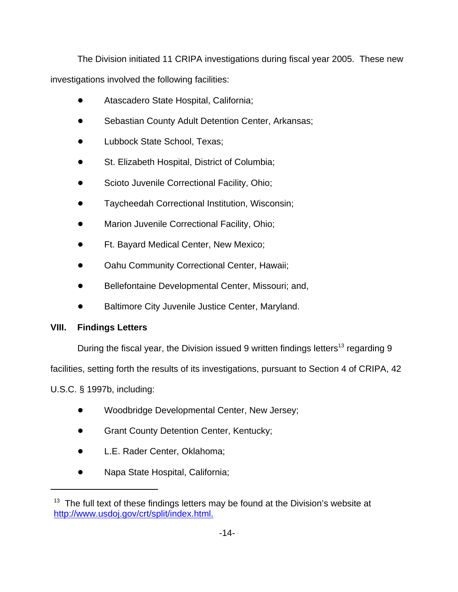The Division initiated 11 CRIPA investigations during fiscal year 2005. These new investigations involved the following facilities:

- ! Atascadero State Hospital, California;
- Sebastian County Adult Detention Center, Arkansas;
- Lubbock State School, Texas;
- St. Elizabeth Hospital, District of Columbia;
- Scioto Juvenile Correctional Facility, Ohio;
- Taycheedah Correctional Institution, Wisconsin;
- Marion Juvenile Correctional Facility, Ohio;
- ! Ft. Bayard Medical Center, New Mexico;
- Oahu Community Correctional Center, Hawaii;
- Bellefontaine Developmental Center, Missouri; and,
- **Baltimore City Juvenile Justice Center, Maryland.**

# **VIII. Findings Letters**

During the fiscal year, the Division issued 9 written findings letters<sup>13</sup> regarding 9

facilities, setting forth the results of its investigations, pursuant to Section 4 of CRIPA, 42

U.S.C. § 1997b, including:

- ! Woodbridge Developmental Center, New Jersey;
- Grant County Detention Center, Kentucky;
- L.E. Rader Center, Oklahoma;
- Napa State Hospital, California;

 $13$  The full text of these findings letters may be found at the Division's website at http://www.usdoj.gov/crt/split/index.html.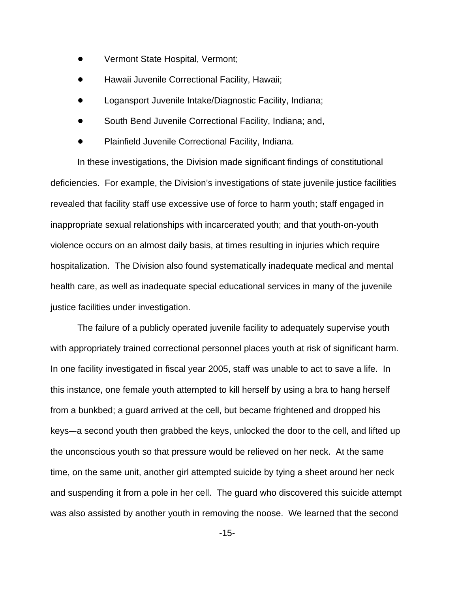- Vermont State Hospital, Vermont;
- Hawaii Juvenile Correctional Facility, Hawaii;
- ! Logansport Juvenile Intake/Diagnostic Facility, Indiana;
- South Bend Juvenile Correctional Facility, Indiana; and,
- Plainfield Juvenile Correctional Facility, Indiana.

In these investigations, the Division made significant findings of constitutional deficiencies.For example, the Division's investigations of state juvenile justice facilities revealed that facility staff use excessive use of force to harm youth; staff engaged in inappropriate sexual relationships with incarcerated youth; and that youth-on-youth violence occurs on an almost daily basis, at times resulting in injuries which require hospitalization. The Division also found systematically inadequate medical and mental health care, as well as inadequate special educational services in many of the juvenile justice facilities under investigation.

The failure of a publicly operated juvenile facility to adequately supervise youth with appropriately trained correctional personnel places youth at risk of significant harm. In one facility investigated in fiscal year 2005, staff was unable to act to save a life. In this instance, one female youth attempted to kill herself by using a bra to hang herself from a bunkbed; a guard arrived at the cell, but became frightened and dropped his keys–-a second youth then grabbed the keys, unlocked the door to the cell, and lifted up the unconscious youth so that pressure would be relieved on her neck. At the same time, on the same unit, another girl attempted suicide by tying a sheet around her neck and suspending it from a pole in her cell. The guard who discovered this suicide attempt was also assisted by another youth in removing the noose. We learned that the second

-15-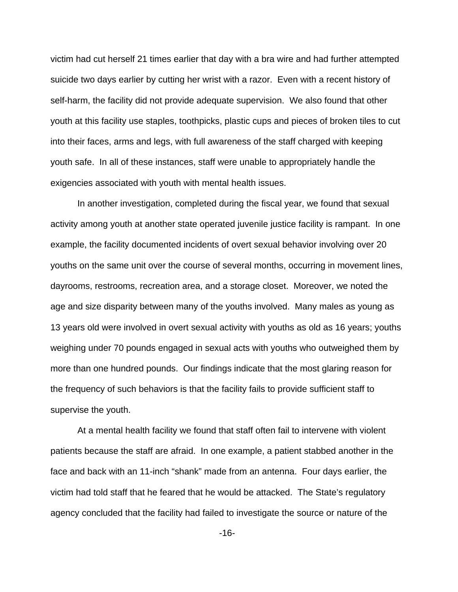victim had cut herself 21 times earlier that day with a bra wire and had further attempted suicide two days earlier by cutting her wrist with a razor. Even with a recent history of self-harm, the facility did not provide adequate supervision. We also found that other youth at this facility use staples, toothpicks, plastic cups and pieces of broken tiles to cut into their faces, arms and legs, with full awareness of the staff charged with keeping youth safe. In all of these instances, staff were unable to appropriately handle the exigencies associated with youth with mental health issues.

In another investigation, completed during the fiscal year, we found that sexual activity among youth at another state operated juvenile justice facility is rampant. In one example, the facility documented incidents of overt sexual behavior involving over 20 youths on the same unit over the course of several months, occurring in movement lines, dayrooms, restrooms, recreation area, and a storage closet. Moreover, we noted the age and size disparity between many of the youths involved. Many males as young as 13 years old were involved in overt sexual activity with youths as old as 16 years; youths weighing under 70 pounds engaged in sexual acts with youths who outweighed them by more than one hundred pounds. Our findings indicate that the most glaring reason for the frequency of such behaviors is that the facility fails to provide sufficient staff to supervise the youth.

At a mental health facility we found that staff often fail to intervene with violent patients because the staff are afraid. In one example, a patient stabbed another in the face and back with an 11-inch "shank" made from an antenna. Four days earlier, the victim had told staff that he feared that he would be attacked. The State's regulatory agency concluded that the facility had failed to investigate the source or nature of the

-16-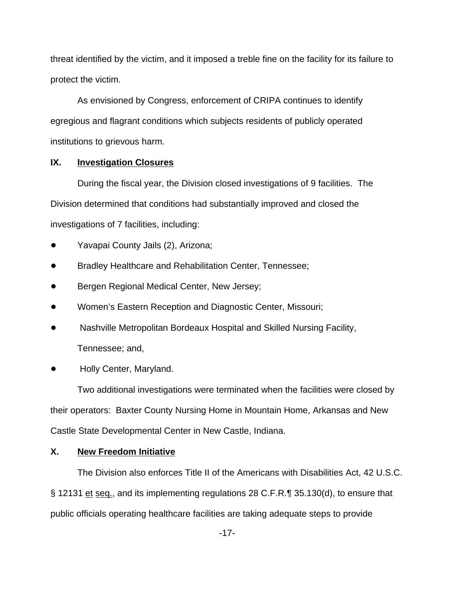threat identified by the victim, and it imposed a treble fine on the facility for its failure to protect the victim.

As envisioned by Congress, enforcement of CRIPA continues to identify egregious and flagrant conditions which subjects residents of publicly operated institutions to grievous harm.

# **IX. Investigation Closures**

During the fiscal year, the Division closed investigations of 9 facilities. The Division determined that conditions had substantially improved and closed the investigations of 7 facilities, including:

- Yavapai County Jails (2), Arizona;
- ! Bradley Healthcare and Rehabilitation Center, Tennessee;
- Bergen Regional Medical Center, New Jersey;
- Women's Eastern Reception and Diagnostic Center, Missouri;
- ! Nashville Metropolitan Bordeaux Hospital and Skilled Nursing Facility, Tennessee; and,
- Holly Center, Maryland.

Two additional investigations were terminated when the facilities were closed by their operators: Baxter County Nursing Home in Mountain Home, Arkansas and New Castle State Developmental Center in New Castle, Indiana.

# **X. New Freedom Initiative**

The Division also enforces Title II of the Americans with Disabilities Act, 42 U.S.C. § 12131 et seq., and its implementing regulations 28 C.F.R.¶ 35.130(d), to ensure that public officials operating healthcare facilities are taking adequate steps to provide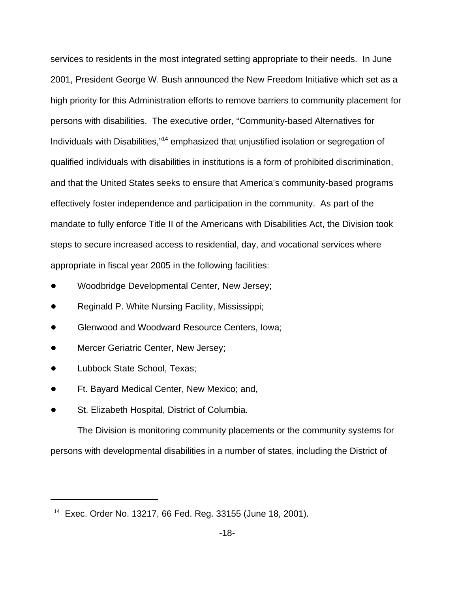services to residents in the most integrated setting appropriate to their needs. In June 2001, President George W. Bush announced the New Freedom Initiative which set as a high priority for this Administration efforts to remove barriers to community placement for persons with disabilities. The executive order, "Community-based Alternatives for Individuals with Disabilities,"14 emphasized that unjustified isolation or segregation of qualified individuals with disabilities in institutions is a form of prohibited discrimination, and that the United States seeks to ensure that America's community-based programs effectively foster independence and participation in the community. As part of the mandate to fully enforce Title II of the Americans with Disabilities Act, the Division took steps to secure increased access to residential, day, and vocational services where appropriate in fiscal year 2005 in the following facilities:

- Woodbridge Developmental Center, New Jersey;
- Reginald P. White Nursing Facility, Mississippi;
- ! Glenwood and Woodward Resource Centers, Iowa;
- Mercer Geriatric Center, New Jersey;
- Lubbock State School, Texas;
- ! Ft. Bayard Medical Center, New Mexico; and,
- St. Elizabeth Hospital, District of Columbia.

The Division is monitoring community placements or the community systems for persons with developmental disabilities in a number of states, including the District of

<sup>14</sup> Exec. Order No. 13217, 66 Fed. Reg. 33155 (June 18, 2001).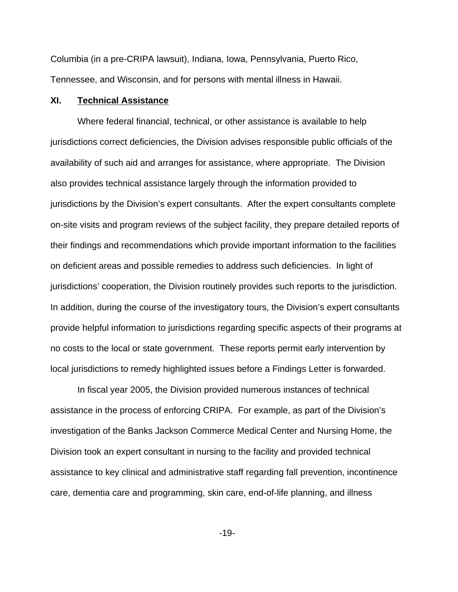Columbia (in a pre-CRIPA lawsuit), Indiana, Iowa, Pennsylvania, Puerto Rico, Tennessee, and Wisconsin, and for persons with mental illness in Hawaii.

### **XI. Technical Assistance**

Where federal financial, technical, or other assistance is available to help jurisdictions correct deficiencies, the Division advises responsible public officials of the availability of such aid and arranges for assistance, where appropriate. The Division also provides technical assistance largely through the information provided to jurisdictions by the Division's expert consultants. After the expert consultants complete on-site visits and program reviews of the subject facility, they prepare detailed reports of their findings and recommendations which provide important information to the facilities on deficient areas and possible remedies to address such deficiencies. In light of jurisdictions' cooperation, the Division routinely provides such reports to the jurisdiction. In addition, during the course of the investigatory tours, the Division's expert consultants provide helpful information to jurisdictions regarding specific aspects of their programs at no costs to the local or state government. These reports permit early intervention by local jurisdictions to remedy highlighted issues before a Findings Letter is forwarded.

In fiscal year 2005, the Division provided numerous instances of technical assistance in the process of enforcing CRIPA. For example, as part of the Division's investigation of the Banks Jackson Commerce Medical Center and Nursing Home, the Division took an expert consultant in nursing to the facility and provided technical assistance to key clinical and administrative staff regarding fall prevention, incontinence care, dementia care and programming, skin care, end-of-life planning, and illness

-19-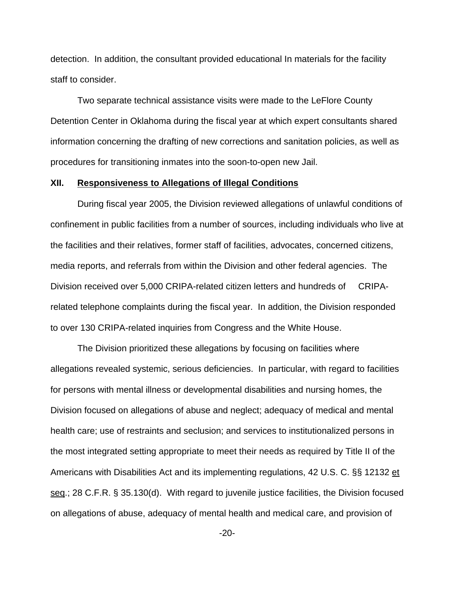detection. In addition, the consultant provided educational In materials for the facility staff to consider.

Two separate technical assistance visits were made to the LeFlore County Detention Center in Oklahoma during the fiscal year at which expert consultants shared information concerning the drafting of new corrections and sanitation policies, as well as procedures for transitioning inmates into the soon-to-open new Jail.

#### **XII. Responsiveness to Allegations of Illegal Conditions**

During fiscal year 2005, the Division reviewed allegations of unlawful conditions of confinement in public facilities from a number of sources, including individuals who live at the facilities and their relatives, former staff of facilities, advocates, concerned citizens, media reports, and referrals from within the Division and other federal agencies. The Division received over 5,000 CRIPA-related citizen letters and hundreds of CRIPArelated telephone complaints during the fiscal year. In addition, the Division responded to over 130 CRIPA-related inquiries from Congress and the White House.

The Division prioritized these allegations by focusing on facilities where allegations revealed systemic, serious deficiencies. In particular, with regard to facilities for persons with mental illness or developmental disabilities and nursing homes, the Division focused on allegations of abuse and neglect; adequacy of medical and mental health care; use of restraints and seclusion; and services to institutionalized persons in the most integrated setting appropriate to meet their needs as required by Title II of the Americans with Disabilities Act and its implementing regulations, 42 U.S. C. §§ 12132 et seq.; 28 C.F.R. § 35.130(d). With regard to juvenile justice facilities, the Division focused on allegations of abuse, adequacy of mental health and medical care, and provision of

-20-